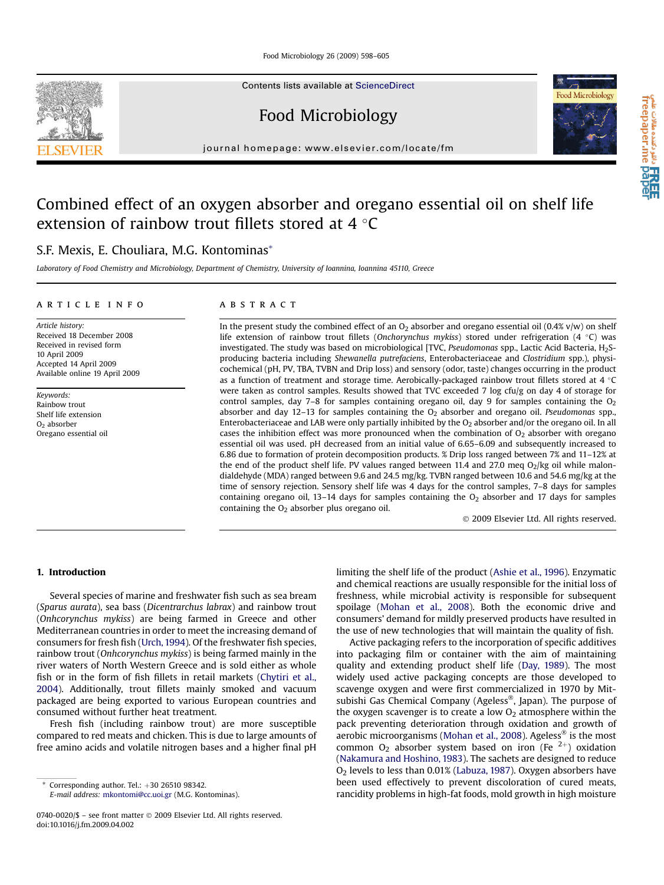Food Microbiology 26 (2009) 598–605

Contents lists available at [ScienceDirect](www.sciencedirect.com/science/journal/07400020)

Food Microbiology

journal homepage: [www.elsevier.com/locate/fm](http://www.elsevier.com/locate/fm)

# Combined effect of an oxygen absorber and oregano essential oil on shelf life extension of rainbow trout fillets stored at 4  $\degree$ C

# S.F. Mexis, E. Chouliara, M.G. Kontominas\*

Laboratory of Food Chemistry and Microbiology, Department of Chemistry, University of Ioannina, Ioannina 45110, Greece

#### article info

Article history: Received 18 December 2008 Received in revised form 10 April 2009 Accepted 14 April 2009 Available online 19 April 2009

Keywords: Rainbow trout Shelf life extension  $O<sub>2</sub>$  absorber Oregano essential oil

# **ABSTRACT**

In the present study the combined effect of an  $O_2$  absorber and oregano essential oil (0.4% v/w) on shelf life extension of rainbow trout fillets (Onchorynchus mykiss) stored under refrigeration (4 °C) was investigated. The study was based on microbiological [TVC, *Pseudomonas spp.*, Lactic Acid Bacteria, H<sub>2</sub>Sproducing bacteria including Shewanella putrefaciens, Enterobacteriaceae and Clostridium spp.), physicochemical (pH, PV, TBA, TVBN and Drip loss) and sensory (odor, taste) changes occurring in the product as a function of treatment and storage time. Aerobically-packaged rainbow trout fillets stored at 4  $\degree$ C were taken as control samples. Results showed that TVC exceeded 7 log cfu/g on day 4 of storage for control samples, day 7–8 for samples containing oregano oil, day 9 for samples containing the  $O<sub>2</sub>$ absorber and day 12-13 for samples containing the  $O<sub>2</sub>$  absorber and oregano oil. Pseudomonas spp., Enterobacteriaceae and LAB were only partially inhibited by the  $O<sub>2</sub>$  absorber and/or the oregano oil. In all cases the inhibition effect was more pronounced when the combination of  $O<sub>2</sub>$  absorber with oregano essential oil was used. pH decreased from an initial value of 6.65–6.09 and subsequently increased to 6.86 due to formation of protein decomposition products. % Drip loss ranged between 7% and 11–12% at the end of the product shelf life. PV values ranged between 11.4 and 27.0 meq  $O_2/kg$  oil while malondialdehyde (MDA) ranged between 9.6 and 24.5 mg/kg. TVBN ranged between 10.6 and 54.6 mg/kg at the time of sensory rejection. Sensory shelf life was 4 days for the control samples, 7–8 days for samples containing oregano oil,  $13-14$  days for samples containing the  $O<sub>2</sub>$  absorber and 17 days for samples containing the  $O<sub>2</sub>$  absorber plus oregano oil.

- 2009 Elsevier Ltd. All rights reserved.

# 1. Introduction

Several species of marine and freshwater fish such as sea bream (Sparus aurata), sea bass (Dicentrarchus labrax) and rainbow trout (Onhcorynchus mykiss) are being farmed in Greece and other Mediterranean countries in order to meet the increasing demand of consumers for fresh fish ([Urch, 1994](#page-7-0)). Of the freshwater fish species, rainbow trout (Onhcorynchus mykiss) is being farmed mainly in the river waters of North Western Greece and is sold either as whole fish or in the form of fish fillets in retail markets ([Chytiri et al.,](#page-6-0) [2004](#page-6-0)). Additionally, trout fillets mainly smoked and vacuum packaged are being exported to various European countries and consumed without further heat treatment.

Fresh fish (including rainbow trout) are more susceptible compared to red meats and chicken. This is due to large amounts of free amino acids and volatile nitrogen bases and a higher final pH

E-mail address: [mkontomi@cc.uoi.gr](mailto:mkontomi@cc.uoi.gr) (M.G. Kontominas).

limiting the shelf life of the product ([Ashie et al., 1996](#page-6-0)). Enzymatic and chemical reactions are usually responsible for the initial loss of freshness, while microbial activity is responsible for subsequent spoilage [\(Mohan et al., 2008](#page-6-0)). Both the economic drive and consumers' demand for mildly preserved products have resulted in the use of new technologies that will maintain the quality of fish.

Active packaging refers to the incorporation of specific additives into packaging film or container with the aim of maintaining quality and extending product shelf life [\(Day, 1989](#page-6-0)). The most widely used active packaging concepts are those developed to scavenge oxygen and were first commercialized in 1970 by Mitsubishi Gas Chemical Company (Ageless®, Japan). The purpose of the oxygen scavenger is to create a low  $O<sub>2</sub>$  atmosphere within the pack preventing deterioration through oxidation and growth of aerobic microorganisms ([Mohan et al., 2008](#page-6-0)). Ageless® is the most common  $O_2$  absorber system based on iron (Fe  $2+$ ) oxidation ([Nakamura and Hoshino, 1983](#page-6-0)). The sachets are designed to reduce O2 levels to less than 0.01% ([Labuza, 1987\)](#page-6-0). Oxygen absorbers have been used effectively to prevent discoloration of cured meats, rancidity problems in high-fat foods, mold growth in high moisture



a تا **HREE**<br>freepaper.me pape

Corresponding author. Tel.:  $+30$  26510 98342.

<sup>0740-0020/\$ –</sup> see front matter © 2009 Elsevier Ltd. All rights reserved. doi:10.1016/j.fm.2009.04.002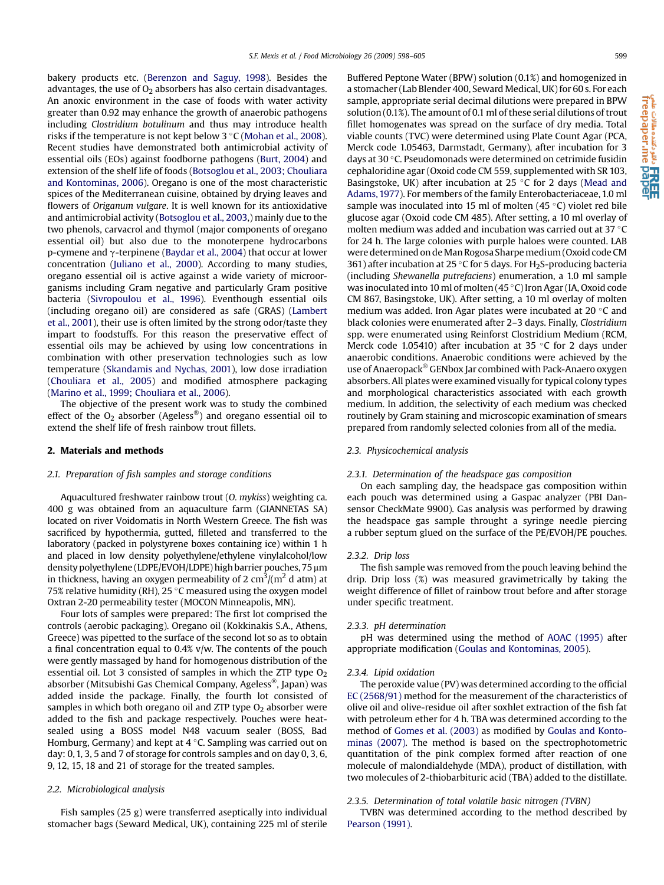bakery products etc. [\(Berenzon and Saguy, 1998](#page-6-0)). Besides the advantages, the use of  $O<sub>2</sub>$  absorbers has also certain disadvantages. An anoxic environment in the case of foods with water activity greater than 0.92 may enhance the growth of anaerobic pathogens including Clostridium botulinum and thus may introduce health risks if the temperature is not kept below 3 °C [\(Mohan et al., 2008\)](#page-6-0). Recent studies have demonstrated both antimicrobial activity of essential oils (EOs) against foodborne pathogens [\(Burt, 2004\)](#page-6-0) and extension of the shelf life of foods ([Botsoglou et al., 2003; Chouliara](#page-6-0) [and Kontominas, 2006\)](#page-6-0). Oregano is one of the most characteristic spices of the Mediterranean cuisine, obtained by drying leaves and flowers of Origanum vulgare. It is well known for its antioxidative and antimicrobial activity ([Botsoglou et al., 2003](#page-6-0),) mainly due to the two phenols, carvacrol and thymol (major components of oregano essential oil) but also due to the monoterpene hydrocarbons p-cymene and  $\gamma$ -terpinene [\(Baydar et al., 2004\)](#page-6-0) that occur at lower concentration ([Juliano et al., 2000](#page-6-0)). According to many studies, oregano essential oil is active against a wide variety of microorganisms including Gram negative and particularly Gram positive bacteria [\(Sivropoulou et al., 1996\)](#page-6-0). Eventhough essential oils (including oregano oil) are considered as safe (GRAS) [\(Lambert](#page-6-0) [et al., 2001](#page-6-0)), their use is often limited by the strong odor/taste they impart to foodstuffs. For this reason the preservative effect of essential oils may be achieved by using low concentrations in combination with other preservation technologies such as low temperature ([Skandamis and Nychas, 2001\)](#page-7-0), low dose irradiation ([Chouliara et al., 2005](#page-6-0)) and modified atmosphere packaging ([Marino et al., 1999; Chouliara et al., 2006\)](#page-6-0).

The objective of the present work was to study the combined effect of the  $O_2$  absorber (Ageless®) and oregano essential oil to extend the shelf life of fresh rainbow trout fillets.

# 2. Materials and methods

#### 2.1. Preparation of fish samples and storage conditions

Aquacultured freshwater rainbow trout (O. mykiss) weighting ca. 400 g was obtained from an aquaculture farm (GIANNETAS SA) located on river Voidomatis in North Western Greece. The fish was sacrificed by hypothermia, gutted, filleted and transferred to the laboratory (packed in polystyrene boxes containing ice) within 1 h and placed in low density polyethylene/ethylene vinylalcohol/low density polyethylene (LDPE/EVOH/LDPE) high barrier pouches, 75 µm in thickness, having an oxygen permeability of 2 cm $^3$ /(m $^2$  d atm) at 75% relative humidity (RH), 25  $\degree$ C measured using the oxygen model Oxtran 2-20 permeability tester (MOCON Minneapolis, MN).

Four lots of samples were prepared: The first lot comprised the controls (aerobic packaging). Oregano oil (Kokkinakis S.A., Athens, Greece) was pipetted to the surface of the second lot so as to obtain a final concentration equal to 0.4% v/w. The contents of the pouch were gently massaged by hand for homogenous distribution of the essential oil. Lot 3 consisted of samples in which the ZTP type  $O<sub>2</sub>$ absorber (Mitsubishi Gas Chemical Company, Ageless®, Japan) was added inside the package. Finally, the fourth lot consisted of samples in which both oregano oil and ZTP type  $O<sub>2</sub>$  absorber were added to the fish and package respectively. Pouches were heatsealed using a BOSS model N48 vacuum sealer (BOSS, Bad Homburg, Germany) and kept at  $4^{\circ}$ C. Sampling was carried out on day: 0, 1, 3, 5 and 7 of storage for controls samples and on day 0, 3, 6, 9, 12, 15, 18 and 21 of storage for the treated samples.

# 2.2. Microbiological analysis

Fish samples (25 g) were transferred aseptically into individual stomacher bags (Seward Medical, UK), containing 225 ml of sterile Buffered Peptone Water (BPW) solution (0.1%) and homogenized in a stomacher (Lab Blender 400, Seward Medical, UK) for 60 s. For each sample, appropriate serial decimal dilutions were prepared in BPW solution (0.1%). The amount of 0.1 ml of these serial dilutions of trout fillet homogenates was spread on the surface of dry media. Total viable counts (TVC) were determined using Plate Count Agar (PCA, Merck code 1.05463, Darmstadt, Germany), after incubation for 3 days at 30 °C. Pseudomonads were determined on cetrimide fusidin cephaloridine agar (Oxoid code CM 559, supplemented with SR 103, Basingstoke, UK) after incubation at 25  $\degree$ C for 2 days [\(Mead and](#page-6-0) [Adams, 1977\)](#page-6-0). For members of the family Enterobacteriaceae, 1.0 ml sample was inoculated into 15 ml of molten  $(45 °C)$  violet red bile glucose agar (Oxoid code CM 485). After setting, a 10 ml overlay of molten medium was added and incubation was carried out at 37 $\,^{\circ}$ C for 24 h. The large colonies with purple haloes were counted. LAB were determined on de Man Rogosa Sharpe medium (Oxoid code CM 361) after incubation at 25 °C for 5 days. For  $H_2$ S-producing bacteria (including Shewanella putrefaciens) enumeration, a 1.0 ml sample was inoculated into 10 ml of molten (45 °C) Iron Agar (IA, Oxoid code CM 867, Basingstoke, UK). After setting, a 10 ml overlay of molten medium was added. Iron Agar plates were incubated at  $20 °C$  and black colonies were enumerated after 2–3 days. Finally, Clostridium spp. were enumerated using Reinforst Clostridium Medium (RCM, Merck code 1.05410) after incubation at 35  $\degree$ C for 2 days under anaerobic conditions. Anaerobic conditions were achieved by the use of Anaeropack® GENbox Jar combined with Pack-Anaero oxygen absorbers. All plates were examined visually for typical colony types and morphological characteristics associated with each growth medium. In addition, the selectivity of each medium was checked routinely by Gram staining and microscopic examination of smears prepared from randomly selected colonies from all of the media.

# 2.3. Physicochemical analysis

#### 2.3.1. Determination of the headspace gas composition

On each sampling day, the headspace gas composition within each pouch was determined using a Gaspac analyzer (PBI Dansensor CheckMate 9900). Gas analysis was performed by drawing the headspace gas sample throught a syringe needle piercing a rubber septum glued on the surface of the PE/EVOH/PE pouches.

#### 2.3.2. Drip loss

The fish sample was removed from the pouch leaving behind the drip. Drip loss (%) was measured gravimetrically by taking the weight difference of fillet of rainbow trout before and after storage under specific treatment.

#### 2.3.3. pH determination

pH was determined using the method of [AOAC \(1995\)](#page-6-0) after appropriate modification [\(Goulas and Kontominas, 2005](#page-6-0)).

#### 2.3.4. Lipid oxidation

The peroxide value (PV) was determined according to the official [EC \(2568/91\)](#page-6-0) method for the measurement of the characteristics of olive oil and olive-residue oil after soxhlet extraction of the fish fat with petroleum ether for 4 h. TBA was determined according to the method of [Gomes et al. \(2003\)](#page-6-0) as modified by [Goulas and Konto](#page-6-0)[minas \(2007\).](#page-6-0) The method is based on the spectrophotometric quantitation of the pink complex formed after reaction of one molecule of malondialdehyde (MDA), product of distillation, with two molecules of 2-thiobarbituric acid (TBA) added to the distillate.

# 2.3.5. Determination of total volatile basic nitrogen (TVBN)

TVBN was determined according to the method described by [Pearson \(1991\)](#page-6-0).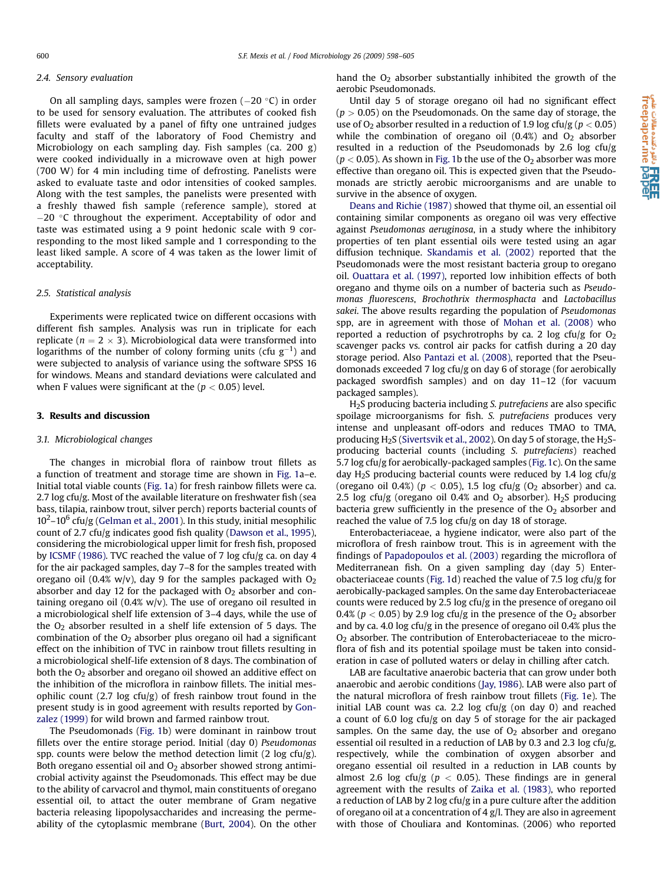#### 2.4. Sensory evaluation

On all sampling days, samples were frozen  $(-20 \degree C)$  in order to be used for sensory evaluation. The attributes of cooked fish fillets were evaluated by a panel of fifty one untrained judges faculty and staff of the laboratory of Food Chemistry and Microbiology on each sampling day. Fish samples (ca. 200 g) were cooked individually in a microwave oven at high power (700 W) for 4 min including time of defrosting. Panelists were asked to evaluate taste and odor intensities of cooked samples. Along with the test samples, the panelists were presented with a freshly thawed fish sample (reference sample), stored at  $-20$  °C throughout the experiment. Acceptability of odor and taste was estimated using a 9 point hedonic scale with 9 corresponding to the most liked sample and 1 corresponding to the least liked sample. A score of 4 was taken as the lower limit of acceptability.

#### 2.5. Statistical analysis

Experiments were replicated twice on different occasions with different fish samples. Analysis was run in triplicate for each replicate ( $n = 2 \times 3$ ). Microbiological data were transformed into logarithms of the number of colony forming units (cfu  $g^{-1}$ ) and were subjected to analysis of variance using the software SPSS 16 for windows. Means and standard deviations were calculated and when F values were significant at the  $(p < 0.05)$  level.

# 3. Results and discussion

#### 3.1. Microbiological changes

The changes in microbial flora of rainbow trout fillets as a function of treatment and storage time are shown in [Fig. 1a](#page-3-0)–e. Initial total viable counts [\(Fig. 1a](#page-3-0)) for fresh rainbow fillets were ca. 2.7 log cfu/g. Most of the available literature on freshwater fish (sea bass, tilapia, rainbow trout, silver perch) reports bacterial counts of  $10^2$ – $10^6$  cfu/g ([Gelman et al., 2001](#page-6-0)). In this study, initial mesophilic count of 2.7 cfu/g indicates good fish quality [\(Dawson et al., 1995\)](#page-6-0), considering the microbiological upper limit for fresh fish, proposed by [ICSMF \(1986\).](#page-6-0) TVC reached the value of 7 log cfu/g ca. on day 4 for the air packaged samples, day 7–8 for the samples treated with oregano oil (0.4% w/v), day 9 for the samples packaged with  $O<sub>2</sub>$ absorber and day 12 for the packaged with  $O<sub>2</sub>$  absorber and containing oregano oil (0.4%  $w/v$ ). The use of oregano oil resulted in a microbiological shelf life extension of 3–4 days, while the use of the  $O<sub>2</sub>$  absorber resulted in a shelf life extension of 5 days. The combination of the  $O<sub>2</sub>$  absorber plus oregano oil had a significant effect on the inhibition of TVC in rainbow trout fillets resulting in a microbiological shelf-life extension of 8 days. The combination of both the  $O<sub>2</sub>$  absorber and oregano oil showed an additive effect on the inhibition of the microflora in rainbow fillets. The initial mesophilic count (2.7 log cfu/g) of fresh rainbow trout found in the present study is in good agreement with results reported by [Gon](#page-6-0)[zalez \(1999\)](#page-6-0) for wild brown and farmed rainbow trout.

The Pseudomonads ([Fig. 1b](#page-3-0)) were dominant in rainbow trout fillets over the entire storage period. Initial (day 0) Pseudomonas spp. counts were below the method detection limit (2 log cfu/g). Both oregano essential oil and  $O<sub>2</sub>$  absorber showed strong antimicrobial activity against the Pseudomonads. This effect may be due to the ability of carvacrol and thymol, main constituents of oregano essential oil, to attact the outer membrane of Gram negative bacteria releasing lipopolysaccharides and increasing the permeability of the cytoplasmic membrane ([Burt, 2004\)](#page-6-0). On the other hand the  $O<sub>2</sub>$  absorber substantially inhibited the growth of the aerobic Pseudomonads.

Until day 5 of storage oregano oil had no significant effect  $(p > 0.05)$  on the Pseudomonads. On the same day of storage, the use of  $O_2$  absorber resulted in a reduction of 1.9 log cfu/g ( $p < 0.05$ ) while the combination of oregano oil  $(0.4%)$  and  $O<sub>2</sub>$  absorber resulted in a reduction of the Pseudomonads by 2.6 log cfu/g  $(p < 0.05)$ . As shown in [Fig. 1b](#page-3-0) the use of the  $O<sub>2</sub>$  absorber was more effective than oregano oil. This is expected given that the Pseudomonads are strictly aerobic microorganisms and are unable to survive in the absence of oxygen.

[Deans and Richie \(1987\)](#page-6-0) showed that thyme oil, an essential oil containing similar components as oregano oil was very effective against Pseudomonas aeruginosa, in a study where the inhibitory properties of ten plant essential oils were tested using an agar diffusion technique. [Skandamis et al. \(2002\)](#page-7-0) reported that the Pseudomonads were the most resistant bacteria group to oregano oil. [Ouattara et al. \(1997\),](#page-6-0) reported low inhibition effects of both oregano and thyme oils on a number of bacteria such as Pseudomonas fluorescens, Brochothrix thermosphacta and Lactobacillus sakei. The above results regarding the population of Pseudomonas spp, are in agreement with those of [Mohan et al. \(2008\)](#page-6-0) who reported a reduction of psychrotrophs by ca. 2 log cfu/g for  $O<sub>2</sub>$ scavenger packs vs. control air packs for catfish during a 20 day storage period. Also [Pantazi et al. \(2008\)](#page-6-0), reported that the Pseudomonads exceeded 7 log cfu/g on day 6 of storage (for aerobically packaged swordfish samples) and on day 11–12 (for vacuum packaged samples).

H2S producing bacteria including S. putrefaciens are also specific spoilage microorganisms for fish. S. putrefaciens produces very intense and unpleasant off-odors and reduces TMAO to TMA, producing  $H_2S$  ([Sivertsvik et al., 2002\)](#page-6-0). On day 5 of storage, the  $H_2S$ producing bacterial counts (including S. putrefaciens) reached 5.7 log cfu/g for aerobically-packaged samples [\(Fig. 1](#page-3-0)c). On the same day  $H_2S$  producing bacterial counts were reduced by 1.4 log cfu/g (oregano oil 0.4%) ( $p < 0.05$ ), 1.5 log cfu/g ( $O<sub>2</sub>$  absorber) and ca. 2.5 log cfu/g (oregano oil 0.4% and  $O_2$  absorber). H<sub>2</sub>S producing bacteria grew sufficiently in the presence of the  $O<sub>2</sub>$  absorber and reached the value of 7.5 log cfu/g on day 18 of storage.

Enterobacteriaceae, a hygiene indicator, were also part of the microflora of fresh rainbow trout. This is in agreement with the findings of [Papadopoulos et al. \(2003\)](#page-6-0) regarding the microflora of Mediterranean fish. On a given sampling day (day 5) Enterobacteriaceae counts ([Fig. 1](#page-3-0)d) reached the value of 7.5 log cfu/g for aerobically-packaged samples. On the same day Enterobacteriaceae counts were reduced by 2.5 log cfu/g in the presence of oregano oil 0.4% ( $p < 0.05$ ) by 2.9 log cfu/g in the presence of the O<sub>2</sub> absorber and by ca. 4.0 log cfu/g in the presence of oregano oil 0.4% plus the O2 absorber. The contribution of Enterobacteriaceae to the microflora of fish and its potential spoilage must be taken into consideration in case of polluted waters or delay in chilling after catch.

LAB are facultative anaerobic bacteria that can grow under both anaerobic and aerobic conditions [\(Jay, 1986](#page-6-0)). LAB were also part of the natural microflora of fresh rainbow trout fillets [\(Fig. 1e](#page-3-0)). The initial LAB count was ca. 2.2 log cfu/g (on day 0) and reached a count of 6.0 log cfu/g on day 5 of storage for the air packaged samples. On the same day, the use of  $O<sub>2</sub>$  absorber and oregano essential oil resulted in a reduction of LAB by 0.3 and 2.3 log cfu/g, respectively, while the combination of oxygen absorber and oregano essential oil resulted in a reduction in LAB counts by almost 2.6 log cfu/g ( $p < 0.05$ ). These findings are in general agreement with the results of [Zaika et al. \(1983\)](#page-7-0), who reported a reduction of LAB by 2 log cfu/g in a pure culture after the addition of oregano oil at a concentration of 4 g/l. They are also in agreement with those of Chouliara and Kontominas. (2006) who reported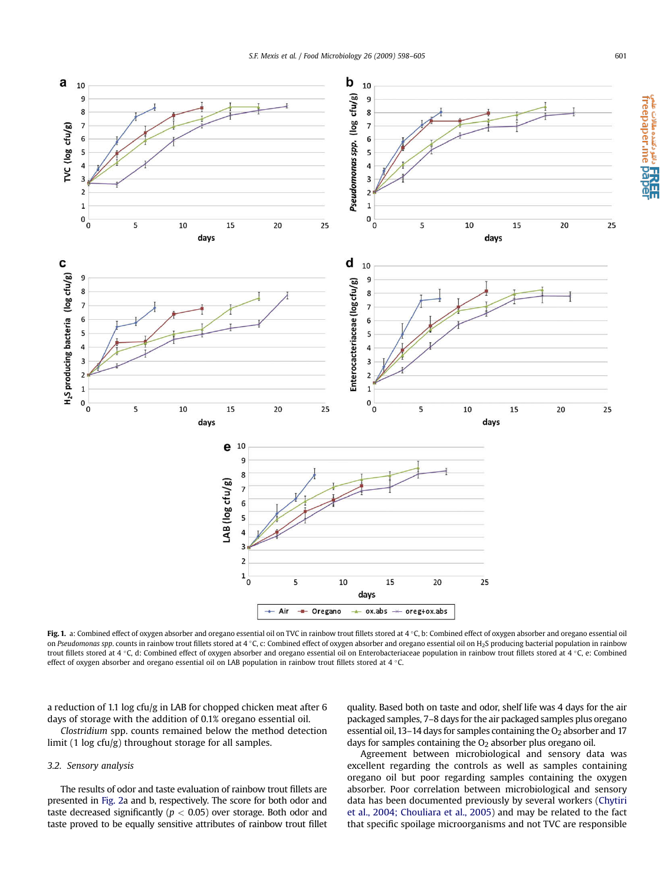<span id="page-3-0"></span>

Fig. 1. a: Combined effect of oxygen absorber and oregano essential oil on TVC in rainbow trout fillets stored at 4 °C, b: Combined effect of oxygen absorber and oregano essential oil on Pseudomonas spp. counts in rainbow trout fillets stored at 4 °C, c: Combined effect of oxygen absorber and oregano essential oil on H2S producing bacterial population in rainbow trout fillets stored at 4 °C, d: Combined effect of oxygen absorber and oregano essential oil on Enterobacteriaceae population in rainbow trout fillets stored at 4 °C, e: Combined effect of oxygen absorber and oregano essential oil on LAB population in rainbow trout fillets stored at 4  $\,^{\circ}$ C.

a reduction of 1.1 log cfu/g in LAB for chopped chicken meat after 6 days of storage with the addition of 0.1% oregano essential oil.

Clostridium spp. counts remained below the method detection limit (1 log cfu/g) throughout storage for all samples.

# 3.2. Sensory analysis

The results of odor and taste evaluation of rainbow trout fillets are presented in [Fig. 2a](#page-4-0) and b, respectively. The score for both odor and taste decreased significantly ( $p < 0.05$ ) over storage. Both odor and taste proved to be equally sensitive attributes of rainbow trout fillet quality. Based both on taste and odor, shelf life was 4 days for the air packaged samples, 7–8 days for the air packaged samples plus oregano essential oil, 13–14 days for samples containing the  $O<sub>2</sub>$  absorber and 17 days for samples containing the  $O<sub>2</sub>$  absorber plus oregano oil.

Agreement between microbiological and sensory data was excellent regarding the controls as well as samples containing oregano oil but poor regarding samples containing the oxygen absorber. Poor correlation between microbiological and sensory data has been documented previously by several workers [\(Chytiri](#page-6-0) [et al., 2004; Chouliara et al., 2005\)](#page-6-0) and may be related to the fact that specific spoilage microorganisms and not TVC are responsible e cu‱∝ منتده مقالات صمر<br>freepaper.me pape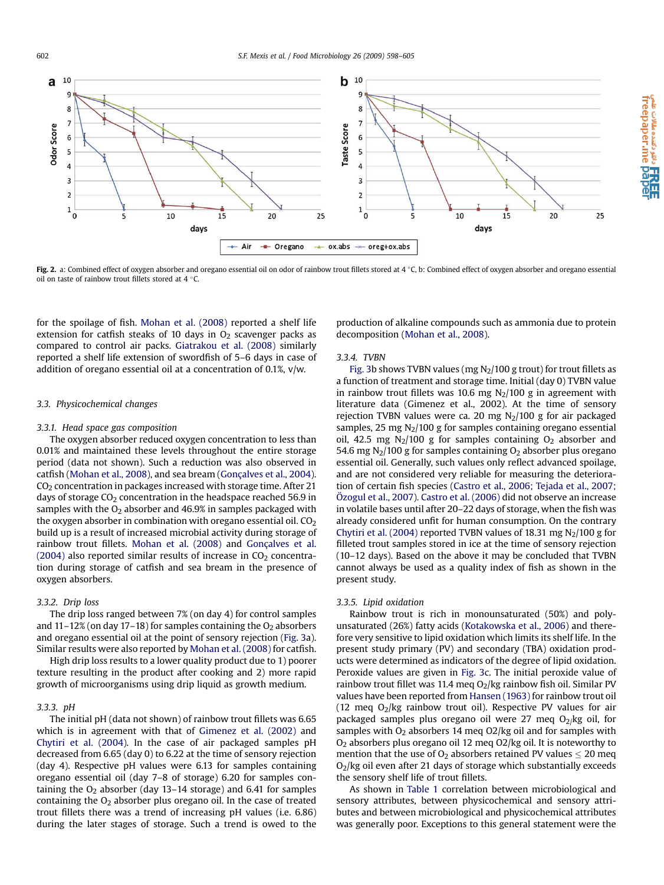<span id="page-4-0"></span>

Fig. 2. a: Combined effect of oxygen absorber and oregano essential oil on odor of rainbow trout fillets stored at 4 °C, b: Combined effect of oxygen absorber and oregano essential oil on taste of rainbow trout fillets stored at 4  $\degree$ C.

for the spoilage of fish. [Mohan et al. \(2008\)](#page-6-0) reported a shelf life extension for catfish steaks of 10 days in  $O<sub>2</sub>$  scavenger packs as compared to control air packs. [Giatrakou et al. \(2008\)](#page-6-0) similarly reported a shelf life extension of swordfish of 5–6 days in case of addition of oregano essential oil at a concentration of 0.1%, v/w.

# 3.3. Physicochemical changes

# 3.3.1. Head space gas composition

The oxygen absorber reduced oxygen concentration to less than 0.01% and maintained these levels throughout the entire storage period (data not shown). Such a reduction was also observed in catfish ([Mohan et al., 2008\)](#page-6-0), and sea bream ([Gonçalves et al., 2004\)](#page-6-0).  $CO<sub>2</sub>$  concentration in packages increased with storage time. After 21 days of storage  $CO<sub>2</sub>$  concentration in the headspace reached 56.9 in samples with the  $O_2$  absorber and 46.9% in samples packaged with the oxygen absorber in combination with oregano essential oil.  $CO<sub>2</sub>$ build up is a result of increased microbial activity during storage of rainbow trout fillets. [Mohan et al. \(2008\)](#page-6-0) and [Gonçalves et al.](#page-6-0) [\(2004\)](#page-6-0) also reported similar results of increase in  $CO<sub>2</sub>$  concentration during storage of catfish and sea bream in the presence of oxygen absorbers.

# 3.3.2. Drip loss

The drip loss ranged between 7% (on day 4) for control samples and  $11-12\%$  (on day 17-18) for samples containing the  $O<sub>2</sub>$  absorbers and oregano essential oil at the point of sensory rejection ([Fig. 3a](#page-5-0)). Similar results were also reported by [Mohan et al. \(2008\)](#page-6-0) for catfish.

High drip loss results to a lower quality product due to 1) poorer texture resulting in the product after cooking and 2) more rapid growth of microorganisms using drip liquid as growth medium.

#### 3.3.3. pH

The initial pH (data not shown) of rainbow trout fillets was 6.65 which is in agreement with that of [Gimenez et al. \(2002\)](#page-6-0) and [Chytiri et al. \(2004\)](#page-6-0). In the case of air packaged samples pH decreased from 6.65 (day 0) to 6.22 at the time of sensory rejection (day 4). Respective pH values were 6.13 for samples containing oregano essential oil (day 7–8 of storage) 6.20 for samples containing the  $O<sub>2</sub>$  absorber (day 13–14 storage) and 6.41 for samples containing the  $O<sub>2</sub>$  absorber plus oregano oil. In the case of treated trout fillets there was a trend of increasing pH values (i.e. 6.86) during the later stages of storage. Such a trend is owed to the production of alkaline compounds such as ammonia due to protein decomposition [\(Mohan et al., 2008](#page-6-0)).

**ا REE**<br>freepaper.me pape

# 3.3.4. TVBN

[Fig. 3](#page-5-0)b shows TVBN values (mg  $N_2/100$  g trout) for trout fillets as a function of treatment and storage time. Initial (day 0) TVBN value in rainbow trout fillets was 10.6 mg  $N<sub>2</sub>/100$  g in agreement with literature data (Gimenez et al., 2002). At the time of sensory rejection TVBN values were ca. 20 mg  $N<sub>2</sub>/100$  g for air packaged samples, 25 mg  $N_2/100$  g for samples containing oregano essential oil, 42.5 mg  $N_2/100$  g for samples containing  $O_2$  absorber and 54.6 mg  $N_2/100$  g for samples containing  $O_2$  absorber plus oregano essential oil. Generally, such values only reflect advanced spoilage, and are not considered very reliable for measuring the deterioration of certain fish species [\(Castro et al., 2006; Tejada et al., 2007;](#page-6-0) Ö[zogul et al., 2007\)](#page-6-0). [Castro et al. \(2006\)](#page-6-0) did not observe an increase in volatile bases until after 20–22 days of storage, when the fish was already considered unfit for human consumption. On the contrary [Chytiri et al. \(2004\)](#page-6-0) reported TVBN values of 18.31 mg  $N_2/100$  g for filleted trout samples stored in ice at the time of sensory rejection (10–12 days). Based on the above it may be concluded that TVBN cannot always be used as a quality index of fish as shown in the present study.

# 3.3.5. Lipid oxidation

Rainbow trout is rich in monounsaturated (50%) and polyunsaturated (26%) fatty acids [\(Kotakowska et al., 2006](#page-6-0)) and therefore very sensitive to lipid oxidation which limits its shelf life. In the present study primary (PV) and secondary (TBA) oxidation products were determined as indicators of the degree of lipid oxidation. Peroxide values are given in [Fig. 3c](#page-5-0). The initial peroxide value of rainbow trout fillet was 11.4 meg  $O_2$ /kg rainbow fish oil. Similar PV values have been reported from [Hansen \(1963\)](#page-6-0) for rainbow trout oil (12 meq  $O_2$ /kg rainbow trout oil). Respective PV values for air packaged samples plus oregano oil were 27 meq  $O_2$ /kg oil, for samples with  $O_2$  absorbers 14 meq  $O2$ /kg oil and for samples with  $O<sub>2</sub>$  absorbers plus oregano oil 12 meq  $O<sub>2</sub>/kg$  oil. It is noteworthy to mention that the use of  $O_2$  absorbers retained PV values  $\leq 20$  meq  $O<sub>2</sub>/kg$  oil even after 21 days of storage which substantially exceeds the sensory shelf life of trout fillets.

As shown in [Table 1](#page-5-0) correlation between microbiological and sensory attributes, between physicochemical and sensory attributes and between microbiological and physicochemical attributes was generally poor. Exceptions to this general statement were the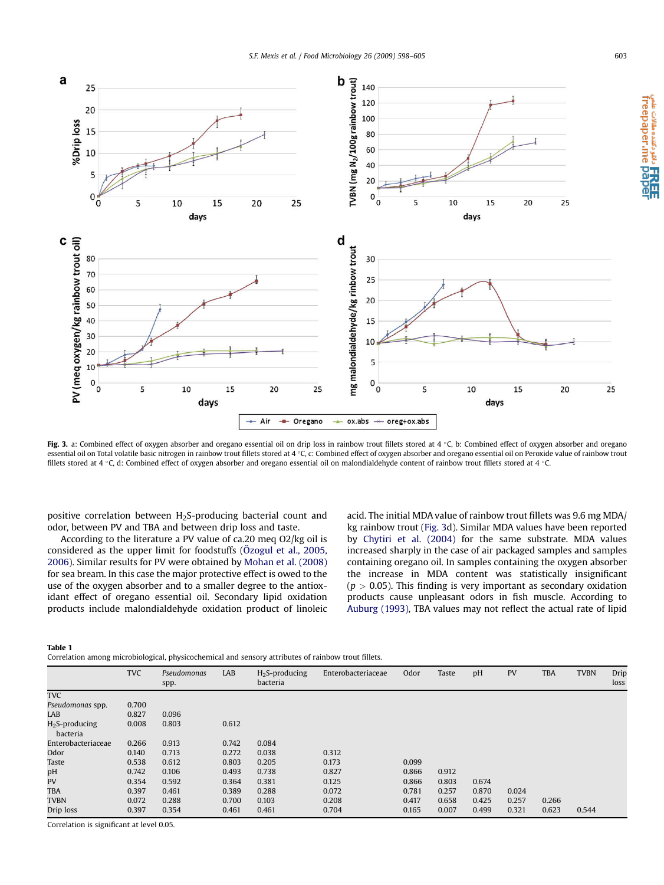<span id="page-5-0"></span>

Fig. 3. a: Combined effect of oxygen absorber and oregano essential oil on drip loss in rainbow trout fillets stored at 4 °C, b: Combined effect of oxygen absorber and oregano essential oil on Total volatile basic nitrogen in rainbow trout fillets stored at 4 °C, c: Combined effect of oxygen absorber and oregano essential oil on Peroxide value of rainbow trout fillets stored at 4 °C, d: Combined effect of oxygen absorber and oregano essential oil on malondialdehyde content of rainbow trout fillets stored at 4 °C.

positive correlation between  $H_2$ S-producing bacterial count and odor, between PV and TBA and between drip loss and taste.

According to the literature a PV value of ca.20 meq O2/kg oil is considered as the upper limit for foodstuffs (Ö[zogul et al., 2005,](#page-6-0) [2006\)](#page-6-0). Similar results for PV were obtained by [Mohan et al. \(2008\)](#page-6-0) for sea bream. In this case the major protective effect is owed to the use of the oxygen absorber and to a smaller degree to the antioxidant effect of oregano essential oil. Secondary lipid oxidation products include malondialdehyde oxidation product of linoleic acid. The initial MDA value of rainbow trout fillets was 9.6 mg MDA/ kg rainbow trout (Fig. 3d). Similar MDA values have been reported by [Chytiri et al. \(2004\)](#page-6-0) for the same substrate. MDA values increased sharply in the case of air packaged samples and samples containing oregano oil. In samples containing the oxygen absorber the increase in MDA content was statistically insignificant  $(p > 0.05)$ . This finding is very important as secondary oxidation products cause unpleasant odors in fish muscle. According to [Auburg \(1993\),](#page-6-0) TBA values may not reflect the actual rate of lipid

Table 1

Correlation among microbiological, physicochemical and sensory attributes of rainbow trout fillets.

|                              | <b>TVC</b> | Pseudomonas<br>spp. | LAB   | $H2S$ -producing<br>bacteria | Enterobacteriaceae | Odor  | Taste | pH    | PV    | <b>TBA</b> | <b>TVBN</b> | Drip<br>loss |
|------------------------------|------------|---------------------|-------|------------------------------|--------------------|-------|-------|-------|-------|------------|-------------|--------------|
| <b>TVC</b>                   |            |                     |       |                              |                    |       |       |       |       |            |             |              |
| Pseudomonas spp.             | 0.700      |                     |       |                              |                    |       |       |       |       |            |             |              |
| LAB                          | 0.827      | 0.096               |       |                              |                    |       |       |       |       |            |             |              |
| $H2S$ -producing<br>bacteria | 0.008      | 0.803               | 0.612 |                              |                    |       |       |       |       |            |             |              |
| Enterobacteriaceae           | 0.266      | 0.913               | 0.742 | 0.084                        |                    |       |       |       |       |            |             |              |
| Odor                         | 0.140      | 0.713               | 0.272 | 0.038                        | 0.312              |       |       |       |       |            |             |              |
| <b>Taste</b>                 | 0.538      | 0.612               | 0.803 | 0.205                        | 0.173              | 0.099 |       |       |       |            |             |              |
| pH                           | 0.742      | 0.106               | 0.493 | 0.738                        | 0.827              | 0.866 | 0.912 |       |       |            |             |              |
| PV                           | 0.354      | 0.592               | 0.364 | 0.381                        | 0.125              | 0.866 | 0.803 | 0.674 |       |            |             |              |
| <b>TBA</b>                   | 0.397      | 0.461               | 0.389 | 0.288                        | 0.072              | 0.781 | 0.257 | 0.870 | 0.024 |            |             |              |
| <b>TVBN</b>                  | 0.072      | 0.288               | 0.700 | 0.103                        | 0.208              | 0.417 | 0.658 | 0.425 | 0.257 | 0.266      |             |              |
| Drip loss                    | 0.397      | 0.354               | 0.461 | 0.461                        | 0.704              | 0.165 | 0.007 | 0.499 | 0.321 | 0.623      | 0.544       |              |

Correlation is significant at level 0.05.

**ا RREE**<br>freepaper.me paper<br>freepaper.me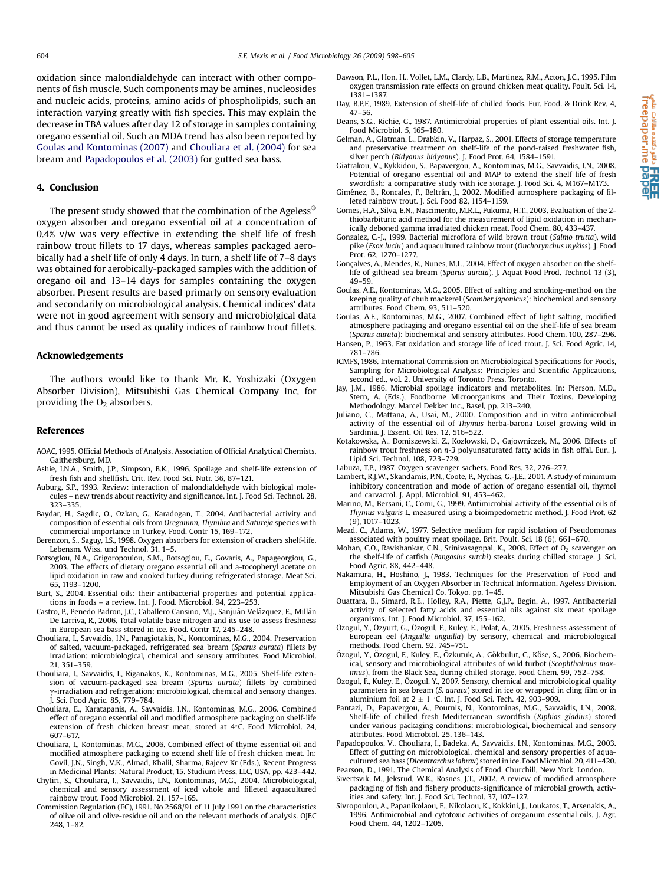<span id="page-6-0"></span>oxidation since malondialdehyde can interact with other components of fish muscle. Such components may be amines, nucleosides and nucleic acids, proteins, amino acids of phospholipids, such an interaction varying greatly with fish species. This may explain the decrease in TBA values after day 12 of storage in samples containing oregano essential oil. Such an MDA trend has also been reported by Goulas and Kontominas (2007) and Chouliara et al. (2004) for sea bream and Papadopoulos et al. (2003) for gutted sea bass.

#### 4. Conclusion

The present study showed that the combination of the Ageless<sup>®</sup> oxygen absorber and oregano essential oil at a concentration of 0.4% v/w was very effective in extending the shelf life of fresh rainbow trout fillets to 17 days, whereas samples packaged aerobically had a shelf life of only 4 days. In turn, a shelf life of 7–8 days was obtained for aerobically-packaged samples with the addition of oregano oil and 13–14 days for samples containing the oxygen absorber. Present results are based primarly on sensory evaluation and secondarily on microbiological analysis. Chemical indices' data were not in good agreement with sensory and microbiolgical data and thus cannot be used as quality indices of rainbow trout fillets.

#### Acknowledgements

The authors would like to thank Mr. K. Yoshizaki (Oxygen Absorber Division), Mitsubishi Gas Chemical Company Inc, for providing the  $O<sub>2</sub>$  absorbers.

#### References

- AOAC, 1995. Official Methods of Analysis. Association of Official Analytical Chemists, Gaithersburg, MD.
- Ashie, I.N.A., Smith, J.P., Simpson, B.K., 1996. Spoilage and shelf-life extension of fresh fish and shellfish. Crit. Rev. Food Sci. Nutr. 36, 87–121.
- Auburg, S.P., 1993. Review: interaction of malondialdehyde with biological molecules – new trends about reactivity and significance. Int. J. Food Sci. Technol. 28, 323–335.
- Baydar, H., Sagdic, O., Ozkan, G., Karadogan, T., 2004. Antibacterial activity and composition of essential oils from Oreganum, Thymbra and Satureja species with commercial importance in Turkey. Food. Contr 15, 169–172.
- Berenzon, S., Saguy, I.S., 1998. Oxygen absorbers for extension of crackers shelf-life. Lebensm. Wiss. und Technol. 31, 1–5.
- Botsoglou, N.A., Grigoropoulou, S.M., Botsoglou, E., Govaris, A., Papageorgiou, G., 2003. The effects of dietary oregano essential oil and a-tocopheryl acetate on lipid oxidation in raw and cooked turkey during refrigerated storage. Meat Sci. 65, 1193–1200.
- Burt, S., 2004. Essential oils: their antibacterial properties and potential applications in foods – a review. Int. J. Food. Microbiol. 94, 223–253.
- Castro, P., Penedo Padron, J.C., Caballero Cansino, M.J., Sanjuán Velázquez, E., Millán De Larriva, R., 2006. Total volatile base nitrogen and its use to assess freshness in European sea bass stored in ice. Food. Contr 17, 245–248.
- Chouliara, I., Savvaidis, I.N., Panagiotakis, N., Kontominas, M.G., 2004. Preservation of salted, vacuum-packaged, refrigerated sea bream (Sparus aurata) fillets by irradiation: microbiological, chemical and sensory attributes. Food Microbiol. 21, 351–359.
- Chouliara, I., Savvaidis, I., Riganakos, K., Kontominas, M.G., 2005. Shelf-life extension of vacuum-packaged sea bream (Sparus aurata) fillets by combined g-irradiation and refrigeration: microbiological, chemical and sensory changes. J. Sci. Food Agric. 85, 779–784.
- Chouliara, E., Karatapanis, A., Savvaidis, I.N., Kontominas, M.G., 2006. Combined effect of oregano essential oil and modified atmosphere packaging on shelf-life extension of fresh chicken breast meat, stored at 4°C. Food Microbiol. 24, 607–617.
- Chouliara, I., Kontominas, M.G., 2006. Combined effect of thyme essential oil and modified atmosphere packaging to extend shelf life of fresh chicken meat. In: Govil, J.N., Singh, V.K., Almad, Khalil, Sharma, Rajeev Kr (Eds.), Recent Progress in Medicinal Plants: Natural Product, 15. Studium Press, LLC, USA, pp. 423–442.
- Chytiri, S., Chouliara, I., Savvaidis, I.N., Kontominas, M.G., 2004. Microbiological, chemical and sensory assessment of iced whole and filleted aquacultured rainbow trout. Food Microbiol. 21, 157–165.
- Commission Regulation (EC), 1991. No 2568/91 of 11 July 1991 on the characteristics of olive oil and olive-residue oil and on the relevant methods of analysis. OJEC 248, 1–82.
- Dawson, P.L., Hon, H., Vollet, L.M., Clardy, L.B., Martinez, R.M., Acton, J.C., 1995. Film oxygen transmission rate effects on ground chicken meat quality. Poult. Sci. 14, 1381–1387.
- Day, B.P.F., 1989. Extension of shelf-life of chilled foods. Eur. Food. & Drink Rev. 4, 47–56.
- Deans, S.G., Richie, G., 1987. Antimicrobial properties of plant essential oils. Int. J. Food Microbiol. 5, 165–180.
- Gelman, A., Glatman, L., Drabkin, V., Harpaz, S., 2001. Effects of storage temperature and preservative treatment on shelf-life of the pond-raised freshwater fish, silver perch (Bidyanus bidyanus). J. Food Prot. 64, 1584–1591.
- Giatrakou, V., Kykkidou, S., Papavergou, A., Kontominas, M.G., Savvaidis, I.N., 2008. Potential of oregano essential oil and MAP to extend the shelf life of fresh
- swordfish: a comparative study with ice storage. J. Food Sci. 4, M167–M173.<br>Giménez, B., Roncales, P., Beltrán, J., 2002. Modified atmosphere packaging of filleted rainbow trout. J. Sci. Food 82, 1154–1159.
- Gomes, H.A., Silva, E.N., Nascimento, M.R.L., Fukuma, H.T., 2003. Evaluation of the 2 thiobarbituric acid method for the measurement of lipid oxidation in mechanically deboned gamma irradiated chicken meat. Food Chem. 80, 433–437.
- Gonzalez, C.-J., 1999. Bacterial microflora of wild brown trout (Salmo trutta), wild pike (Esox luciu) and aquacultured rainbow trout (Onchorynchus mykiss). J. Food Prot. 62, 1270–1277.
- Gonçalves, A., Mendes, R., Nunes, M.L., 2004. Effect of oxygen absorber on the shelflife of gilthead sea bream (Sparus aurata). J. Aquat Food Prod. Technol. 13 (3), 49–59.
- Goulas, A.E., Kontominas, M.G., 2005. Effect of salting and smoking-method on the keeping quality of chub mackerel (Scomber japonicus): biochemical and sensory attributes. Food Chem. 93, 511–520.
- Goulas, A.E., Kontominas, M.G., 2007. Combined effect of light salting, modified atmosphere packaging and oregano essential oil on the shelf-life of sea bream (Sparus aurata): biochemical and sensory attributes. Food Chem. 100, 287–296.
- Hansen, P., 1963. Fat oxidation and storage life of iced trout. J. Sci. Food Agric. 14, 781–786.
- ICMFS, 1986. International Commission on Microbiological Specifications for Foods, Sampling for Microbiological Analysis: Principles and Scientific Applications, second ed., vol. 2. University of Toronto Press, Toronto.
- Jay, J.M., 1986. Microbial spoilage indicators and metabolites. In: Pierson, M.D., Stern, A. (Eds.), Foodborne Microorganisms and Their Toxins. Developing Methodology. Marcel Dekker Inc., Basel, pp. 213–240.
- Juliano, C., Mattana, A., Usai, M., 2000. Composition and in vitro antimicrobial activity of the essential oil of Thymus herba-barona Loisel growing wild in Sardinia. J. Essent. Oil Res. 12, 516–522.
- Kotakowska, A., Domiszewski, Z., Kozlowski, D., Gajowniczek, M., 2006. Effects of rainbow trout freshness on n-3 polyunsaturated fatty acids in fish offal. Eur.. J. Lipid Sci. Technol. 108, 723–729.
- Labuza, T.P., 1987. Oxygen scavenger sachets. Food Res. 32, 276–277.
- Lambert, R.J.W., Skandamis, P.N., Coote, P., Nychas, G.-J.E., 2001. A study of minimum inhibitory concentration and mode of action of oregano essential oil, thymol and carvacrol. J. Appl. Microbiol. 91, 453–462.
- Marino, M., Bersani, C., Comi, G., 1999. Antimicrobial activity of the essential oils of Thymus vulgaris L. measured using a bioimpedometric method. J. Food Prot. 62 (9), 1017–1023.
- Mead, C., Adams, W., 1977. Selective medium for rapid isolation of Pseudomonas associated with poultry meat spoilage. Brit. Poult. Sci. 18 (6), 661–670.
- Mohan, C.O., Ravishankar, C.N., Srinivasagopal, K., 2008. Effect of O<sub>2</sub> scavenger on the shelf-life of catfish (Pangasius sutchi) steaks during chilled storage. J. Sci. Food Agric. 88, 442–448.
- Nakamura, H., Hoshino, J., 1983. Techniques for the Preservation of Food and Employment of an Oxygen Absorber in Technical Information. Ageless Division. Mitsubishi Gas Chemical Co, Tokyo, pp. 1–45.
- Ouattara, B., Simard, R.E., Holley, R.A., Piette, G.J.P., Begin, A., 1997. Antibacterial activity of selected fatty acids and essential oils against six meat spoilage organisms. Int. J. Food Microbiol. 37, 155–162.
- Özogul, Y., Özyurt, G., Özogul, F., Kuley, E., Polat, A., 2005. Freshness assessment of European eel (Anguilla anguilla) by sensory, chemical and microbiological methods. Food Chem. 92, 745–751.
- Özogul, Y., Özogul, F., Kuley, E., Özkutuk, A., Gökbulut, C., Köse, S., 2006. Biochemical, sensory and microbiological attributes of wild turbot (Scophthalmus maximus), from the Black Sea, during chilled storage. Food Chem. 99, 752–758.
- Özogul, F., Kuley, E., Özogul, Y., 2007. Sensory, chemical and microbiological quality parameters in sea bream (S. aurata) stored in ice or wrapped in cling film or in aluminium foil at  $2 \pm 1$  °C. Int. J. Food Sci. Tech. 42, 903-909.
- Pantazi, D., Papavergou, A., Pournis, N., Kontominas, M.G., Savvaidis, I.N., 2008. Shelf-life of chilled fresh Mediterranean swordfish (Xiphias gladius) stored under various packaging conditions: microbiological, biochemical and sensory attributes. Food Microbiol. 25, 136–143.
- Papadopoulos, V., Chouliara, I., Badeka, A., Savvaidis, I.N., Kontominas, M.G., 2003. Effect of gutting on microbiological, chemical and sensory properties of aquacultured sea bass (Dicentrarchus labrax) stored in ice. Food Microbiol. 20, 411-420.
- Pearson, D., 1991. The Chemical Analysis of Food. Churchill, New York, London. Sivertsvik, M., Jeksrud, W.K., Rosnes, J.T., 2002. A review of modified atmosphere packaging of fish and fishery products-significance of microbial growth, activ-
- ities and safety. Int. J. Food Sci. Technol. 37, 107–127. Sivropoulou, A., Papanikolaou, E., Nikolaou, K., Kokkini, J., Loukatos, T., Arsenakis, A., 1996. Antimicrobial and cytotoxic activities of oreganum essential oils. J. Agr. Food Chem. 44, 1202–1205.